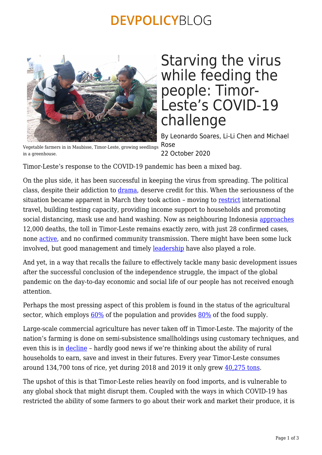## **DEVPOLICYBLOG**



## Starving the virus while feeding the people: Timor-Leste's COVID-19 challenge

By Leonardo Soares, Li-Li Chen and Michael Rose 22 October 2020

Vegetable farmers in in Maubisse, Timor-Leste, growing seedlings in a greenhouse.

Timor-Leste's response to the COVID-19 pandemic has been a mixed bag.

On the plus side, it has been successful in keeping the virus from spreading. The political class, despite their addiction to [drama](https://www.youtube.com/watch?v=fdNyDvd4U_s), deserve credit for this. When the seriousness of the situation became apparent in March they took action – moving to [restrict](https://thediplomat.com/2020/06/timor-lestes-covid-19-response/) international travel, building testing capacity, providing income support to households and promoting social distancing, mask use and hand washing. Now as neighbouring Indonesia [approaches](https://www.thejakartapost.com/news/2020/03/23/indonesias-latest-covid-19-figures.html) 12,000 deaths, the toll in Timor-Leste remains exactly zero, with just 28 confirmed cases, none [active,](https://www.worldometers.info/coronavirus/country/timor-leste/) and no confirmed community transmission. There might have been some luck involved, but good management and timely **leadership** have also played a role.

And yet, in a way that recalls the failure to effectively tackle many basic development issues after the successful conclusion of the independence struggle, the impact of the global pandemic on the day-to-day economic and social life of our people has not received enough attention.

Perhaps the most pressing aspect of this problem is found in the status of the agricultural sector, which employs  $60\%$  of the population and provides  $80\%$  of the food supply.

Large-scale commercial agriculture has never taken off in Timor-Leste. The majority of the nation's farming is done on semi-subsistence smallholdings using customary techniques, and even this is in [decline](https://www.adb.org/sites/default/files/institutional-document/161516/tim-growing-non-oil-economy.pdf) – hardly good news if we're thinking about the ability of rural households to earn, save and invest in their futures. Every year Timor-Leste consumes around 134,700 tons of rice, yet during 2018 and 2019 it only grew [40,275 tons](https://web.facebook.com/thediliweekly/?_rdc=1&_rdr).

The upshot of this is that Timor-Leste relies heavily on food imports, and is vulnerable to any global shock that might disrupt them. Coupled with the ways in which COVID-19 has restricted the ability of some farmers to go about their work and market their produce, it is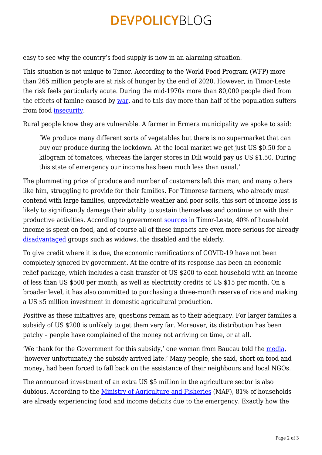# **DEVPOLICYBLOG**

easy to see why the country's food supply is now in an alarming situation.

This situation is not unique to Timor. According to the World Food Program (WFP) more than 265 million people are at risk of hunger by the end of 2020. However, in Timor-Leste the risk feels particularly acute. During the mid-1970s more than 80,000 people died from the effects of famine caused by [war,](http://www.cavr-timorleste.org/updateFiles/english/CONFLICT-RELATED%20DEATHS.pdf) and to this day more than half of the population suffers from food [insecurity.](https://docs.wfp.org/api/documents/WFP-0000113450/download/?_ga=2.101111366.61344574.1588777812-1658301567.1588576951)

Rural people know they are vulnerable. A farmer in Ermera municipality we spoke to said:

'We produce many different sorts of vegetables but there is no supermarket that can buy our produce during the lockdown. At the local market we get just US \$0.50 for a kilogram of tomatoes, whereas the larger stores in Dili would pay us US \$1.50. During this state of emergency our income has been much less than usual.'

The plummeting price of produce and number of customers left this man, and many others like him, struggling to provide for their families. For Timorese farmers, who already must contend with large families, unpredictable weather and poor soils, this sort of income loss is likely to significantly damage their ability to sustain themselves and continue on with their productive activities. According to government [sources](https://www.laohamutuk.org/Agri/2017/NationalFoodNutritionSecurityPolicyMay2014en.pdf) in Timor-Leste, 40% of household income is spent on food, and of course all of these impacts are even more serious for already [disadvantaged](https://web.facebook.com/oxfamtimorleste) groups such as widows, the disabled and the elderly.

To give credit where it is due, the economic ramifications of COVID-19 have not been completely ignored by government. At the centre of its response has been an economic relief package, which includes a cash transfer of US \$200 to each household with an income of less than US \$500 per month, as well as electricity credits of US \$15 per month. On a broader level, it has also committed to purchasing a three-month reserve of rice and making a US \$5 million investment in domestic agricultural production.

Positive as these initiatives are, questions remain as to their adequacy. For larger families a subsidy of US \$200 is unlikely to get them very far. Moreover, its distribution has been patchy – people have complained of the money not arriving on time, or at all.

'We thank for the Government for this subsidy,' one woman from Baucau told the [media](https://lafaek.news/benefisiariu-suku-tirilolo-agradese-subsidiu-200-maibe-deskontente-tanba-la-responde-ee/), 'however unfortunately the subsidy arrived late.' Many people, she said, short on food and money, had been forced to fall back on the assistance of their neighbours and local NGOs.

The announced investment of an extra US \$5 million in the agriculture sector is also dubious. According to the [Ministry of Agriculture and Fisheries](https://www.maf.gov.tl/tl/notisia/438-map-lansa-resultadu-avaliasaun-rapidu-ba-seguransa-ai-han) (MAF), 81% of households are already experiencing food and income deficits due to the emergency. Exactly how the